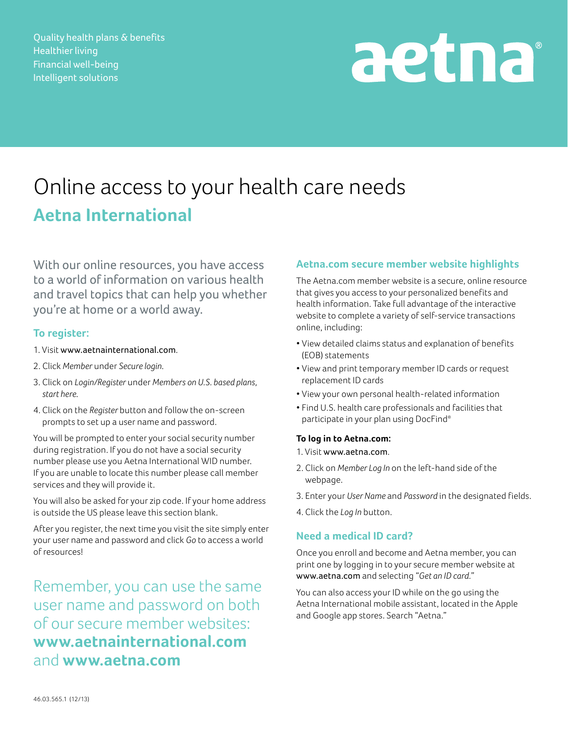Quality health plans & benefits Healthier living Financial well-being Intelligent solutions

# aetna

# Online access to your health care needs **Aetna International**

With our online resources, you have access to a world of information on various health and travel topics that can help you whether you're at home or a world away.

### **To register:**

- 1. Visit www.aetnainternational.com.
- 2. Click *Member* under *Secure login*.
- 3. Click on *Login/Register* under *Members on U.S. based plans, start here*.
- 4. Click on the *Register* button and follow the on-screen prompts to set up a user name and password.

You will be prompted to enter your social security number during registration. If you do not have a social security number please use you Aetna International WID number. If you are unable to locate this number please call member services and they will provide it.

You will also be asked for your zip code. If your home address is outside the US please leave this section blank.

After you register, the next time you visit the site simply enter your user name and password and click *Go* to access a world of resources!

Remember, you can use the same user name and password on both of our secure member websites: **www.aetnainternational.com** and **www.aetna.com**

## **Aetna.com secure member website highlights**

The Aetna.com member website is a secure, online resource that gives you access to your personalized benefits and health information. Take full advantage of the interactive website to complete a variety of self-service transactions online, including:

- View detailed claims status and explanation of benefits (EOB) statements
- View and print temporary member ID cards or request replacement ID cards
- View your own personal health-related information
- Find U.S. health care professionals and facilities that participate in your plan using DocFind®

#### **To log in to Aetna.com:**

- 1. Visit www.aetna.com.
- 2. Click on *Member Log In* on the left-hand side of the webpage.
- 3. Enter your *User Name* and *Password* in the designated fields.
- 4. Click the *Log In* button.

# **Need a medical ID card?**

Once you enroll and become and Aetna member, you can print one by logging in to your secure member website at www.aetna.com and selecting "*Get an ID card.*"

You can also access your ID while on the go using the Aetna International mobile assistant, located in the Apple and Google app stores. Search "Aetna."